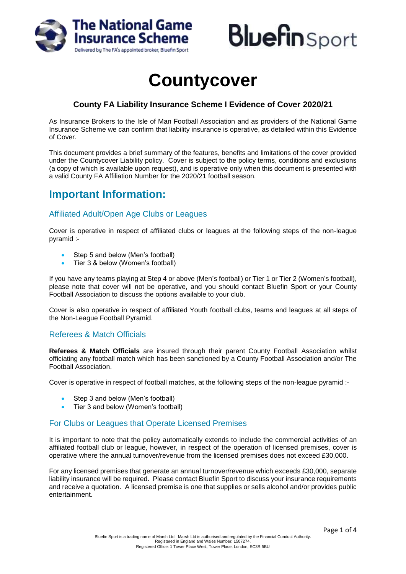



# **Countycover**

# **County FA Liability Insurance Scheme I Evidence of Cover 2020/21**

As Insurance Brokers to the Isle of Man Football Association and as providers of the National Game Insurance Scheme we can confirm that liability insurance is operative, as detailed within this Evidence of Cover.

This document provides a brief summary of the features, benefits and limitations of the cover provided under the Countycover Liability policy. Cover is subject to the policy terms, conditions and exclusions (a copy of which is available upon request), and is operative only when this document is presented with a valid County FA Affiliation Number for the 2020/21 football season.

# **Important Information:**

## Affiliated Adult/Open Age Clubs or Leagues

Cover is operative in respect of affiliated clubs or leagues at the following steps of the non-league pyramid :-

- Step 5 and below (Men's football)
- Tier 3 & below (Women's football)

If you have any teams playing at Step 4 or above (Men's football) or Tier 1 or Tier 2 (Women's football), please note that cover will not be operative, and you should contact Bluefin Sport or your County Football Association to discuss the options available to your club.

Cover is also operative in respect of affiliated Youth football clubs, teams and leagues at all steps of the Non-League Football Pyramid.

## Referees & Match Officials

**Referees & Match Officials** are insured through their parent County Football Association whilst officiating any football match which has been sanctioned by a County Football Association and/or The Football Association.

Cover is operative in respect of football matches, at the following steps of the non-league pyramid :-

- Step 3 and below (Men's football)
- Tier 3 and below (Women's football)

## For Clubs or Leagues that Operate Licensed Premises

It is important to note that the policy automatically extends to include the commercial activities of an affiliated football club or league, however, in respect of the operation of licensed premises, cover is operative where the annual turnover/revenue from the licensed premises does not exceed £30,000.

For any licensed premises that generate an annual turnover/revenue which exceeds £30,000, separate liability insurance will be required. Please contact Bluefin Sport to discuss your insurance requirements and receive a quotation. A licensed premise is one that supplies or sells alcohol and/or provides public entertainment.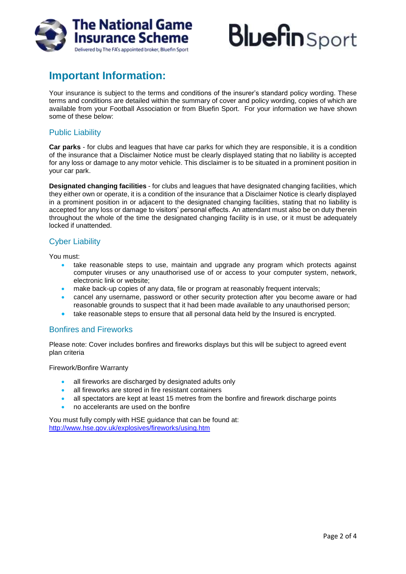

# **Bluefin** Sport

# **Important Information:**

Your insurance is subject to the terms and conditions of the insurer's standard policy wording. These terms and conditions are detailed within the summary of cover and policy wording, copies of which are available from your Football Association or from Bluefin Sport. For your information we have shown some of these below:

#### Public Liability

**Car parks** - for clubs and leagues that have car parks for which they are responsible, it is a condition of the insurance that a Disclaimer Notice must be clearly displayed stating that no liability is accepted for any loss or damage to any motor vehicle. This disclaimer is to be situated in a prominent position in your car park.

**Designated changing facilities** - for clubs and leagues that have designated changing facilities, which they either own or operate, it is a condition of the insurance that a Disclaimer Notice is clearly displayed in a prominent position in or adjacent to the designated changing facilities, stating that no liability is accepted for any loss or damage to visitors' personal effects. An attendant must also be on duty therein throughout the whole of the time the designated changing facility is in use, or it must be adequately locked if unattended.

# Cyber Liability

You must:

- take reasonable steps to use, maintain and upgrade any program which protects against computer viruses or any unauthorised use of or access to your computer system, network, electronic link or website;
- make back-up copies of any data, file or program at reasonably frequent intervals;
- cancel any username, password or other security protection after you become aware or had reasonable grounds to suspect that it had been made available to any unauthorised person;
- take reasonable steps to ensure that all personal data held by the Insured is encrypted.

## Bonfires and Fireworks

Please note: Cover includes bonfires and fireworks displays but this will be subject to agreed event plan criteria

Firework/Bonfire Warranty

- all fireworks are discharged by designated adults only
- all fireworks are stored in fire resistant containers
- all spectators are kept at least 15 metres from the bonfire and firework discharge points
- no accelerants are used on the bonfire

You must fully comply with HSE guidance that can be found at: <http://www.hse.gov.uk/explosives/fireworks/using.htm>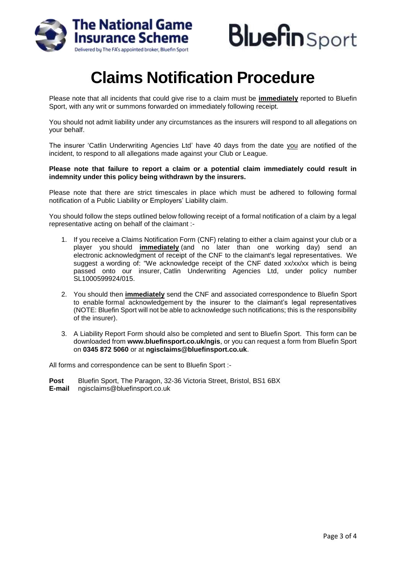



# **Claims Notification Procedure**

Please note that all incidents that could give rise to a claim must be **immediately** reported to Bluefin Sport, with any writ or summons forwarded on immediately following receipt.

You should not admit liability under any circumstances as the insurers will respond to all allegations on your behalf.

The insurer 'Catlin Underwriting Agencies Ltd' have 40 days from the date you are notified of the incident, to respond to all allegations made against your Club or League.

#### **Please note that failure to report a claim or a potential claim immediately could result in indemnity under this policy being withdrawn by the insurers.**

Please note that there are strict timescales in place which must be adhered to following formal notification of a Public Liability or Employers' Liability claim.

You should follow the steps outlined below following receipt of a formal notification of a claim by a legal representative acting on behalf of the claimant :-

- 1. If you receive a Claims Notification Form (CNF) relating to either a claim against your club or a player you should **immediately** (and no later than one working day) send an electronic acknowledgment of receipt of the CNF to the claimant's legal representatives. We suggest a wording of: "We acknowledge receipt of the CNF dated xx/xx/xx which is being passed onto our insurer, Catlin Underwriting Agencies Ltd, under policy number SL1000599924/015.
- 2. You should then **immediately** send the CNF and associated correspondence to Bluefin Sport to enable formal acknowledgement by the insurer to the claimant's legal representatives (NOTE: Bluefin Sport will not be able to acknowledge such notifications; this is the responsibility of the insurer).
- 3. A Liability Report Form should also be completed and sent to Bluefin Sport. This form can be downloaded from **www.bluefinsport.co.uk/ngis**, or you can request a form from Bluefin Sport on **0345 872 5060** or at **ngisclaims@bluefinsport.co.uk**.

All forms and correspondence can be sent to Bluefin Sport :-

**Post** Bluefin Sport, The Paragon, 32-36 Victoria Street, Bristol, BS1 6BX **E-mail** [ngisclaims@bluefinsport.co.uk](mailto:ngisclaims@bluefingroup.co.uk)